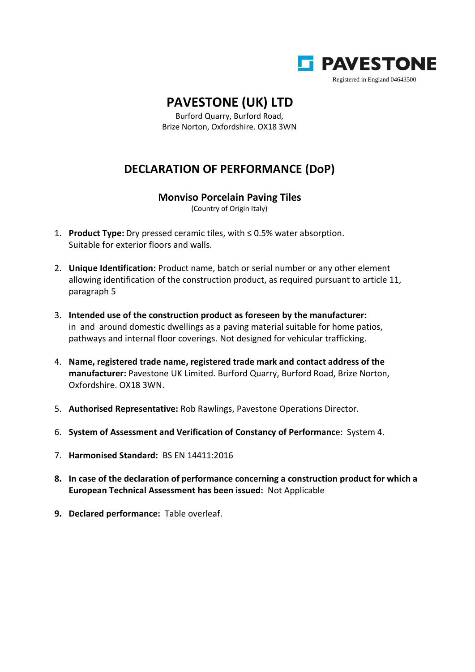

## **PAVESTONE (UK) LTD**

Burford Quarry, Burford Road, Brize Norton, Oxfordshire. OX18 3WN

## **DECLARATION OF PERFORMANCE (DoP)**

## **Monviso Porcelain Paving Tiles**

(Country of Origin Italy)

- 1. **Product Type:** Dry pressed ceramic tiles, with ≤ 0.5% water absorption. Suitable for exterior floors and walls.
- 2. **Unique Identification:** Product name, batch or serial number or any other element allowing identification of the construction product, as required pursuant to article 11, paragraph 5
- 3. **Intended use of the construction product as foreseen by the manufacturer:** in and around domestic dwellings as a paving material suitable for home patios, pathways and internal floor coverings. Not designed for vehicular trafficking.
- 4. **Name, registered trade name, registered trade mark and contact address of the manufacturer:** Pavestone UK Limited. Burford Quarry, Burford Road, Brize Norton, Oxfordshire. OX18 3WN.
- 5. **Authorised Representative:** Rob Rawlings, Pavestone Operations Director.
- 6. **System of Assessment and Verification of Constancy of Performanc**e: System 4.
- 7. **Harmonised Standard:** BS EN 14411:2016
- **8. In case of the declaration of performance concerning a construction product for which a European Technical Assessment has been issued:** Not Applicable
- **9. Declared performance:** Table overleaf.